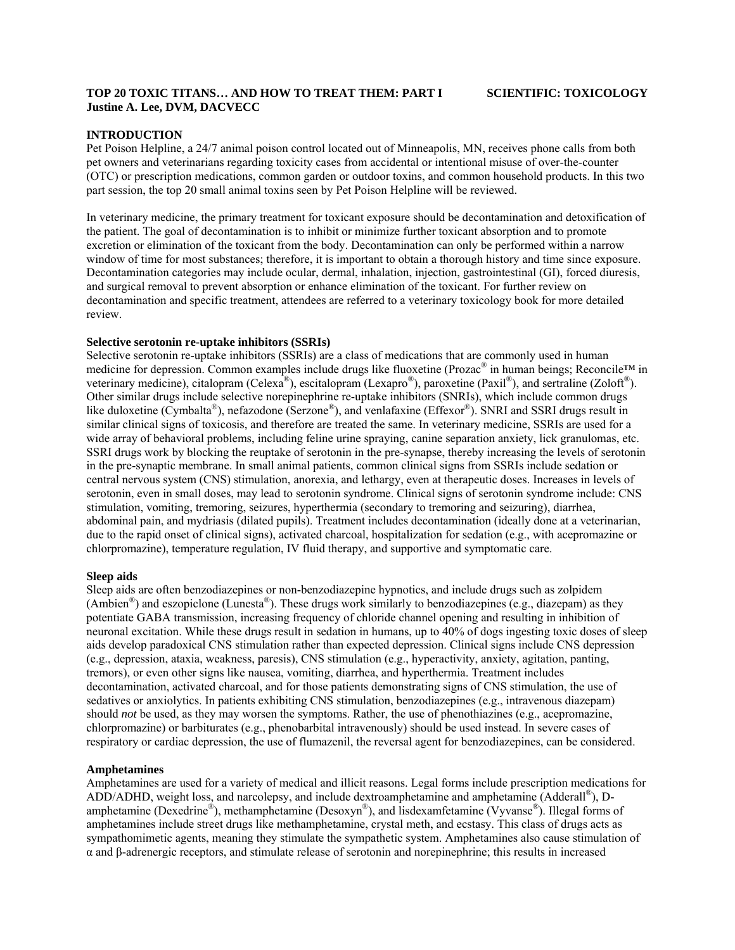### **TOP 20 TOXIC TITANS… AND HOW TO TREAT THEM: PART I SCIENTIFIC: TOXICOLOGY Justine A. Lee, DVM, DACVECC**

# **INTRODUCTION**

Pet Poison Helpline, a 24/7 animal poison control located out of Minneapolis, MN, receives phone calls from both pet owners and veterinarians regarding toxicity cases from accidental or intentional misuse of over-the-counter (OTC) or prescription medications, common garden or outdoor toxins, and common household products. In this two part session, the top 20 small animal toxins seen by Pet Poison Helpline will be reviewed.

In veterinary medicine, the primary treatment for toxicant exposure should be decontamination and detoxification of the patient. The goal of decontamination is to inhibit or minimize further toxicant absorption and to promote excretion or elimination of the toxicant from the body. Decontamination can only be performed within a narrow window of time for most substances; therefore, it is important to obtain a thorough history and time since exposure. Decontamination categories may include ocular, dermal, inhalation, injection, gastrointestinal (GI), forced diuresis, and surgical removal to prevent absorption or enhance elimination of the toxicant. For further review on decontamination and specific treatment, attendees are referred to a veterinary toxicology book for more detailed review.

### **Selective serotonin re-uptake inhibitors (SSRIs)**

Selective serotonin re-uptake inhibitors (SSRIs) are a class of medications that are commonly used in human medicine for depression. Common examples include drugs like fluoxetine (Prozac® in human beings; Reconcile™ in veterinary medicine), citalopram (Celexa®), escitalopram (Lexapro®), paroxetine (Paxil®), and sertraline (Zoloft®). Other similar drugs include selective norepinephrine re-uptake inhibitors (SNRIs), which include common drugs like duloxetine (Cymbalta®), nefazodone (Serzone®), and venlafaxine (Effexor®). SNRI and SSRI drugs result in similar clinical signs of toxicosis, and therefore are treated the same. In veterinary medicine, SSRIs are used for a wide array of behavioral problems, including feline urine spraying, canine separation anxiety, lick granulomas, etc. SSRI drugs work by blocking the reuptake of serotonin in the pre-synapse, thereby increasing the levels of serotonin in the pre-synaptic membrane. In small animal patients, common clinical signs from SSRIs include sedation or central nervous system (CNS) stimulation, anorexia, and lethargy, even at therapeutic doses. Increases in levels of serotonin, even in small doses, may lead to serotonin syndrome. Clinical signs of serotonin syndrome include: CNS stimulation, vomiting, tremoring, seizures, hyperthermia (secondary to tremoring and seizuring), diarrhea, abdominal pain, and mydriasis (dilated pupils). Treatment includes decontamination (ideally done at a veterinarian, due to the rapid onset of clinical signs), activated charcoal, hospitalization for sedation (e.g., with acepromazine or chlorpromazine), temperature regulation, IV fluid therapy, and supportive and symptomatic care.

# **Sleep aids**

Sleep aids are often benzodiazepines or non-benzodiazepine hypnotics, and include drugs such as zolpidem (Ambien<sup>®</sup>) and eszopiclone (Lunesta<sup>®</sup>). These drugs work similarly to benzodiazepines (e.g., diazepam) as they potentiate GABA transmission, increasing frequency of chloride channel opening and resulting in inhibition of neuronal excitation. While these drugs result in sedation in humans, up to 40% of dogs ingesting toxic doses of sleep aids develop paradoxical CNS stimulation rather than expected depression. Clinical signs include CNS depression (e.g., depression, ataxia, weakness, paresis), CNS stimulation (e.g., hyperactivity, anxiety, agitation, panting, tremors), or even other signs like nausea, vomiting, diarrhea, and hyperthermia. Treatment includes decontamination, activated charcoal, and for those patients demonstrating signs of CNS stimulation, the use of sedatives or anxiolytics. In patients exhibiting CNS stimulation, benzodiazepines (e.g., intravenous diazepam) should *not* be used, as they may worsen the symptoms. Rather, the use of phenothiazines (e.g., acepromazine, chlorpromazine) or barbiturates (e.g., phenobarbital intravenously) should be used instead. In severe cases of respiratory or cardiac depression, the use of flumazenil, the reversal agent for benzodiazepines, can be considered.

# **Amphetamines**

Amphetamines are used for a variety of medical and illicit reasons. Legal forms include prescription medications for ADD/ADHD, weight loss, and narcolepsy, and include dextroamphetamine and amphetamine (Adderall<sup>®</sup>), Damphetamine (Dexedrine<sup>®</sup>), methamphetamine (Desoxyn<sup>®</sup>), and lisdexamfetamine (Vyvanse<sup>®</sup>). Illegal forms of amphetamines include street drugs like methamphetamine, crystal meth, and ecstasy. This class of drugs acts as sympathomimetic agents, meaning they stimulate the sympathetic system. Amphetamines also cause stimulation of α and β-adrenergic receptors, and stimulate release of serotonin and norepinephrine; this results in increased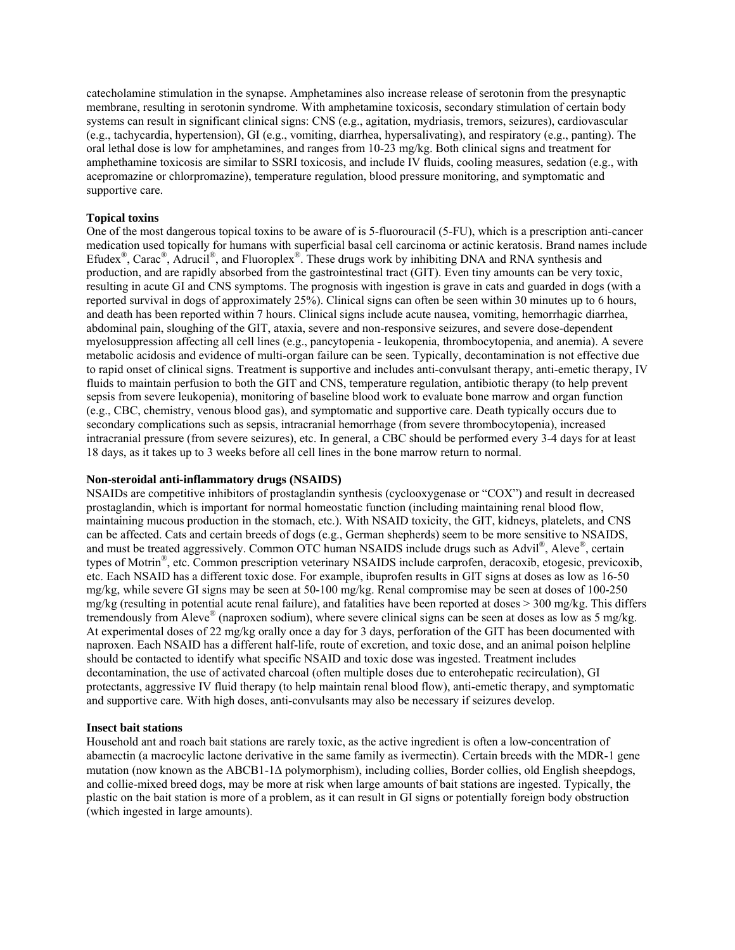catecholamine stimulation in the synapse. Amphetamines also increase release of serotonin from the presynaptic membrane, resulting in serotonin syndrome. With amphetamine toxicosis, secondary stimulation of certain body systems can result in significant clinical signs: CNS (e.g., agitation, mydriasis, tremors, seizures), cardiovascular (e.g., tachycardia, hypertension), GI (e.g., vomiting, diarrhea, hypersalivating), and respiratory (e.g., panting). The oral lethal dose is low for amphetamines, and ranges from 10-23 mg/kg. Both clinical signs and treatment for amphethamine toxicosis are similar to SSRI toxicosis, and include IV fluids, cooling measures, sedation (e.g., with acepromazine or chlorpromazine), temperature regulation, blood pressure monitoring, and symptomatic and supportive care.

# **Topical toxins**

One of the most dangerous topical toxins to be aware of is 5-fluorouracil (5-FU), which is a prescription anti-cancer medication used topically for humans with superficial basal cell carcinoma or actinic keratosis. Brand names include Efudex<sup>®</sup>, Carac<sup>®</sup>, Adrucil<sup>®</sup>, and Fluoroplex<sup>®</sup>. These drugs work by inhibiting DNA and RNA synthesis and production, and are rapidly absorbed from the gastrointestinal tract (GIT). Even tiny amounts can be very toxic, resulting in acute GI and CNS symptoms. The prognosis with ingestion is grave in cats and guarded in dogs (with a reported survival in dogs of approximately 25%). Clinical signs can often be seen within 30 minutes up to 6 hours, and death has been reported within 7 hours. Clinical signs include acute nausea, vomiting, hemorrhagic diarrhea, abdominal pain, sloughing of the GIT, ataxia, severe and non-responsive seizures, and severe dose-dependent myelosuppression affecting all cell lines (e.g., pancytopenia - leukopenia, thrombocytopenia, and anemia). A severe metabolic acidosis and evidence of multi-organ failure can be seen. Typically, decontamination is not effective due to rapid onset of clinical signs. Treatment is supportive and includes anti-convulsant therapy, anti-emetic therapy, IV fluids to maintain perfusion to both the GIT and CNS, temperature regulation, antibiotic therapy (to help prevent sepsis from severe leukopenia), monitoring of baseline blood work to evaluate bone marrow and organ function (e.g., CBC, chemistry, venous blood gas), and symptomatic and supportive care. Death typically occurs due to secondary complications such as sepsis, intracranial hemorrhage (from severe thrombocytopenia), increased intracranial pressure (from severe seizures), etc. In general, a CBC should be performed every 3-4 days for at least 18 days, as it takes up to 3 weeks before all cell lines in the bone marrow return to normal.

#### **Non-steroidal anti-inflammatory drugs (NSAIDS)**

NSAIDs are competitive inhibitors of prostaglandin synthesis (cyclooxygenase or "COX") and result in decreased prostaglandin, which is important for normal homeostatic function (including maintaining renal blood flow, maintaining mucous production in the stomach, etc.). With NSAID toxicity, the GIT, kidneys, platelets, and CNS can be affected. Cats and certain breeds of dogs (e.g., German shepherds) seem to be more sensitive to NSAIDS, and must be treated aggressively. Common OTC human NSAIDS include drugs such as Advil®, Aleve®, certain types of Motrin®, etc. Common prescription veterinary NSAIDS include carprofen, deracoxib, etogesic, previcoxib, etc. Each NSAID has a different toxic dose. For example, ibuprofen results in GIT signs at doses as low as 16-50 mg/kg, while severe GI signs may be seen at 50-100 mg/kg. Renal compromise may be seen at doses of 100-250 mg/kg (resulting in potential acute renal failure), and fatalities have been reported at doses > 300 mg/kg. This differs tremendously from Aleve<sup>®</sup> (naproxen sodium), where severe clinical signs can be seen at doses as low as 5 mg/kg. At experimental doses of 22 mg/kg orally once a day for 3 days, perforation of the GIT has been documented with naproxen. Each NSAID has a different half-life, route of excretion, and toxic dose, and an animal poison helpline should be contacted to identify what specific NSAID and toxic dose was ingested. Treatment includes decontamination, the use of activated charcoal (often multiple doses due to enterohepatic recirculation), GI protectants, aggressive IV fluid therapy (to help maintain renal blood flow), anti-emetic therapy, and symptomatic and supportive care. With high doses, anti-convulsants may also be necessary if seizures develop.

#### **Insect bait stations**

Household ant and roach bait stations are rarely toxic, as the active ingredient is often a low-concentration of abamectin (a macrocylic lactone derivative in the same family as ivermectin). Certain breeds with the MDR-1 gene mutation (now known as the ABCB1-1Δ polymorphism), including collies, Border collies, old English sheepdogs, and collie-mixed breed dogs, may be more at risk when large amounts of bait stations are ingested. Typically, the plastic on the bait station is more of a problem, as it can result in GI signs or potentially foreign body obstruction (which ingested in large amounts).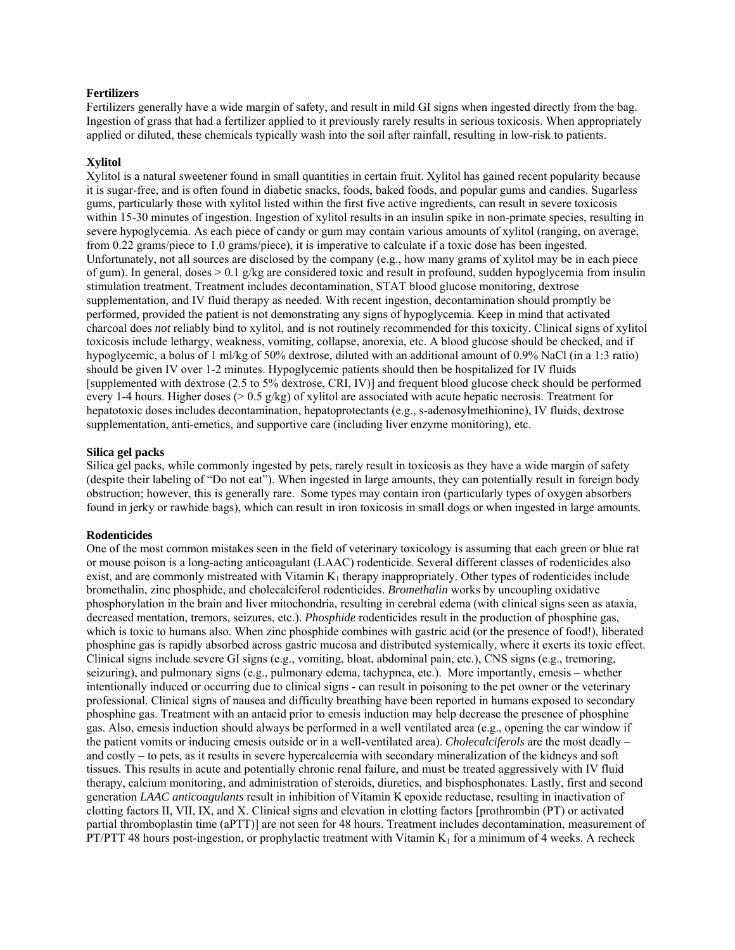### **Fertilizers**

Fertilizers generally have a wide margin of safety, and result in mild GI signs when ingested directly from the bag. Ingestion of grass that had a fertilizer applied to it previously rarely results in serious toxicosis. When appropriately applied or diluted, these chemicals typically wash into the soil after rainfall, resulting in low-risk to patients.

#### **Xylitol**

Xylitol is a natural sweetener found in small quantities in certain fruit. Xylitol has gained recent popularity because it is sugar-free, and is often found in diabetic snacks, foods, baked foods, and popular gums and candies. Sugarless gums, particularly those with xylitol listed within the first five active ingredients, can result in severe toxicosis within 15-30 minutes of ingestion. Ingestion of xylitol results in an insulin spike in non-primate species, resulting in severe hypoglycemia. As each piece of candy or gum may contain various amounts of xylitol (ranging, on average, from 0.22 grams/piece to 1.0 grams/piece), it is imperative to calculate if a toxic dose has been ingested. Unfortunately, not all sources are disclosed by the company (e.g., how many grams of xylitol may be in each piece of gum). In general, doses > 0.1 g/kg are considered toxic and result in profound, sudden hypoglycemia from insulin stimulation treatment. Treatment includes decontamination, STAT blood glucose monitoring, dextrose supplementation, and IV fluid therapy as needed. With recent ingestion, decontamination should promptly be performed, provided the patient is not demonstrating any signs of hypoglycemia. Keep in mind that activated charcoal does *not* reliably bind to xylitol, and is not routinely recommended for this toxicity. Clinical signs of xylitol toxicosis include lethargy, weakness, vomiting, collapse, anorexia, etc. A blood glucose should be checked, and if hypoglycemic, a bolus of 1 ml/kg of 50% dextrose, diluted with an additional amount of 0.9% NaCl (in a 1:3 ratio) should be given IV over 1-2 minutes. Hypoglycemic patients should then be hospitalized for IV fluids [supplemented with dextrose (2.5 to 5% dextrose, CRI, IV)] and frequent blood glucose check should be performed every 1-4 hours. Higher doses (> 0.5 g/kg) of xylitol are associated with acute hepatic necrosis. Treatment for hepatotoxic doses includes decontamination, hepatoprotectants (e.g., s-adenosylmethionine), IV fluids, dextrose supplementation, anti-emetics, and supportive care (including liver enzyme monitoring), etc.

#### **Silica gel packs**

Silica gel packs, while commonly ingested by pets, rarely result in toxicosis as they have a wide margin of safety (despite their labeling of "Do not eat"). When ingested in large amounts, they can potentially result in foreign body obstruction; however, this is generally rare. Some types may contain iron (particularly types of oxygen absorbers found in jerky or rawhide bags), which can result in iron toxicosis in small dogs or when ingested in large amounts.

#### **Rodenticides**

One of the most common mistakes seen in the field of veterinary toxicology is assuming that each green or blue rat or mouse poison is a long-acting anticoagulant (LAAC) rodenticide. Several different classes of rodenticides also exist, and are commonly mistreated with Vitamin  $K_1$  therapy inappropriately. Other types of rodenticides include bromethalin, zinc phosphide, and cholecalciferol rodenticides. *Bromethalin* works by uncoupling oxidative phosphorylation in the brain and liver mitochondria, resulting in cerebral edema (with clinical signs seen as ataxia, decreased mentation, tremors, seizures, etc.). *Phosphide* rodenticides result in the production of phosphine gas, which is toxic to humans also. When zinc phosphide combines with gastric acid (or the presence of food!), liberated phosphine gas is rapidly absorbed across gastric mucosa and distributed systemically, where it exerts its toxic effect. Clinical signs include severe GI signs (e.g., vomiting, bloat, abdominal pain, etc.), CNS signs (e.g., tremoring, seizuring), and pulmonary signs (e.g., pulmonary edema, tachypnea, etc.). More importantly, emesis – whether intentionally induced or occurring due to clinical signs - can result in poisoning to the pet owner or the veterinary professional. Clinical signs of nausea and difficulty breathing have been reported in humans exposed to secondary phosphine gas. Treatment with an antacid prior to emesis induction may help decrease the presence of phosphine gas. Also, emesis induction should always be performed in a well ventilated area (e.g., opening the car window if the patient vomits or inducing emesis outside or in a well-ventilated area). *Cholecalciferols* are the most deadly – and costly – to pets, as it results in severe hypercalcemia with secondary mineralization of the kidneys and soft tissues. This results in acute and potentially chronic renal failure, and must be treated aggressively with IV fluid therapy, calcium monitoring, and administration of steroids, diuretics, and bisphosphonates. Lastly, first and second generation *LAAC anticoagulants* result in inhibition of Vitamin K epoxide reductase, resulting in inactivation of clotting factors II, VII, IX, and X. Clinical signs and elevation in clotting factors [prothrombin (PT) or activated partial thromboplastin time (aPTT)] are not seen for 48 hours. Treatment includes decontamination, measurement of PT/PTT 48 hours post-ingestion, or prophylactic treatment with Vitamin  $K_1$  for a minimum of 4 weeks. A recheck